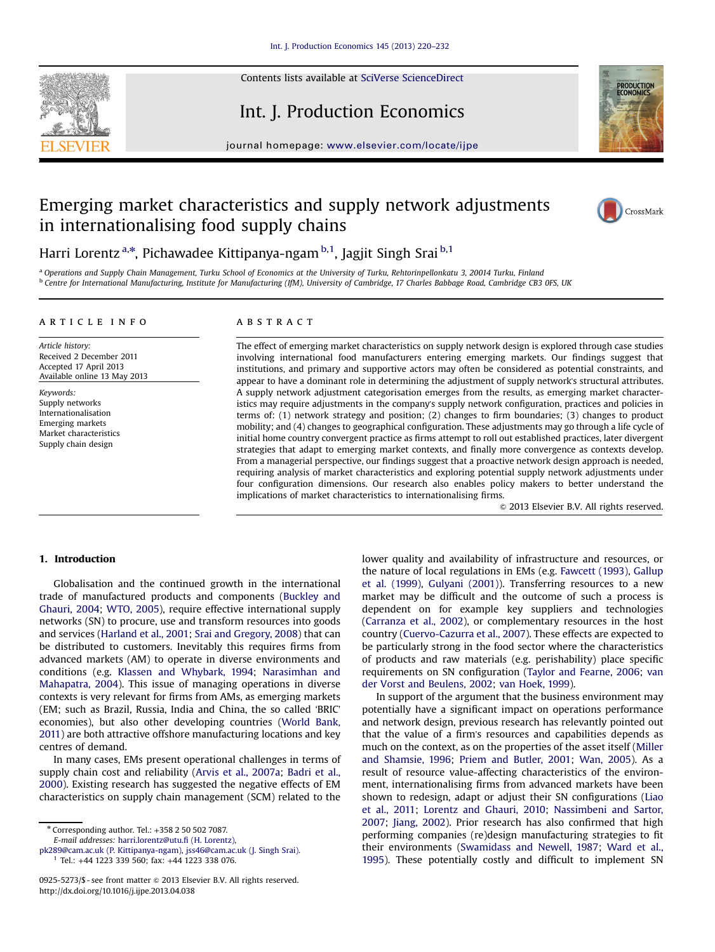

Contents lists available at SciVerse ScienceDirect

# Int. J. Production Economics



journal homepage: <www.elsevier.com/locate/ijpe>r.com/locate/ijper.com/locate/ijper.com/locate/ijper.com/locate/ijper.com/locate/ijper.com/locate/ijper.com/locate/ijper.com/locate/ijper.com/locate/ijper.com/locate/ijper.com

# Emerging market characteristics and supply network adjustments in internationalising food supply chains



Harri Lorentz<sup>a,\*</sup>, Pichawadee Kittipanya-ngam <sup>b,1</sup>, Jagjit Singh Srai <sup>b,1</sup>

a Operations and Supply Chain Management, Turku School of Economics at the University of Turku, Rehtorinpellonkatu 3, 20014 Turku, Finland b Centre for International Manufacturing, Institute for Manufacturing (IfM), University of Cambridge, 17 Charles Babbage Road, Cambridge CB3 0FS, UK

## article info

Article history: Received 2 December 2011 Accepted 17 April 2013 Available online 13 May 2013

Keywords: Supply networks Internationalisation Emerging markets Market characteristics Supply chain design

## **ABSTRACT**

The effect of emerging market characteristics on supply network design is explored through case studies involving international food manufacturers entering emerging markets. Our findings suggest that institutions, and primary and supportive actors may often be considered as potential constraints, and appear to have a dominant role in determining the adjustment of supply network's structural attributes. A supply network adjustment categorisation emerges from the results, as emerging market characteristics may require adjustments in the company's supply network configuration, practices and policies in terms of: (1) network strategy and position; (2) changes to firm boundaries; (3) changes to product mobility; and (4) changes to geographical configuration. These adjustments may go through a life cycle of initial home country convergent practice as firms attempt to roll out established practices, later divergent strategies that adapt to emerging market contexts, and finally more convergence as contexts develop. From a managerial perspective, our findings suggest that a proactive network design approach is needed, requiring analysis of market characteristics and exploring potential supply network adjustments under four configuration dimensions. Our research also enables policy makers to better understand the implications of market characteristics to internationalising firms.

 $©$  2013 Elsevier B.V. All rights reserved.

# 1. Introduction

Globalisation and the continued growth in the international trade of manufactured products and components [\(Buckley and](#page--1-0) [Ghauri, 2004;](#page--1-0) [WTO, 2005\)](#page--1-0), require effective international supply networks (SN) to procure, use and transform resources into goods and services [\(Harland et al., 2001](#page--1-0); [Srai and Gregory, 2008](#page--1-0)) that can be distributed to customers. Inevitably this requires firms from advanced markets (AM) to operate in diverse environments and conditions (e.g. [Klassen and Whybark, 1994;](#page--1-0) [Narasimhan and](#page--1-0) [Mahapatra, 2004\)](#page--1-0). This issue of managing operations in diverse contexts is very relevant for firms from AMs, as emerging markets (EM; such as Brazil, Russia, India and China, the so called 'BRIC' economies), but also other developing countries ([World Bank,](#page--1-0) [2011\)](#page--1-0) are both attractive offshore manufacturing locations and key centres of demand.

In many cases, EMs present operational challenges in terms of supply chain cost and reliability [\(Arvis et al., 2007a](#page--1-0); [Badri et al.,](#page--1-0) [2000](#page--1-0)). Existing research has suggested the negative effects of EM characteristics on supply chain management (SCM) related to the

\* Corresponding author. Tel.: +358 2 50 502 7087. E-mail addresses: [harri.lorentz@utu.](mailto:pk289@cam.ac.uk)fi (H. Lorentz),

[pk289@cam.ac.uk \(P. Kittipanya-ngam\),](mailto:jss46@cam.ac.uk) jss46@cam.ac.uk (J. Singh Srai).

<sup>1</sup> Tel.: +44 1223 339 560; fax: +44 1223 338 076.

lower quality and availability of infrastructure and resources, or the nature of local regulations in EMs (e.g. [Fawcett \(1993\)](#page--1-0), [Gallup](#page--1-0) [et al. \(1999\),](#page--1-0) [Gulyani \(2001\)\)](#page--1-0). Transferring resources to a new market may be difficult and the outcome of such a process is dependent on for example key suppliers and technologies ([Carranza et al., 2002](#page--1-0)), or complementary resources in the host country [\(Cuervo-Cazurra et al., 2007](#page--1-0)). These effects are expected to be particularly strong in the food sector where the characteristics of products and raw materials (e.g. perishability) place specific requirements on SN configuration [\(Taylor and Fearne, 2006](#page--1-0); [van](#page--1-0) [der Vorst and Beulens, 2002](#page--1-0); [van Hoek, 1999\)](#page--1-0).

In support of the argument that the business environment may potentially have a significant impact on operations performance and network design, previous research has relevantly pointed out that the value of a firm's resources and capabilities depends as much on the context, as on the properties of the asset itself [\(Miller](#page--1-0) [and Shamsie, 1996;](#page--1-0) [Priem and Butler, 2001;](#page--1-0) [Wan, 2005\)](#page--1-0). As a result of resource value-affecting characteristics of the environment, internationalising firms from advanced markets have been shown to redesign, adapt or adjust their SN configurations [\(Liao](#page--1-0) [et al., 2011;](#page--1-0) [Lorentz and Ghauri, 2010;](#page--1-0) [Nassimbeni and Sartor,](#page--1-0) [2007;](#page--1-0) [Jiang, 2002](#page--1-0)). Prior research has also confirmed that high performing companies (re)design manufacturing strategies to fit their environments ([Swamidass and Newell, 1987;](#page--1-0) [Ward et al.,](#page--1-0) [1995](#page--1-0)). These potentially costly and difficult to implement SN

<sup>0925-5273/\$ -</sup> see front matter @ 2013 Elsevier B.V. All rights reserved. <http://dx.doi.org/10.1016/j.ijpe.2013.04.038>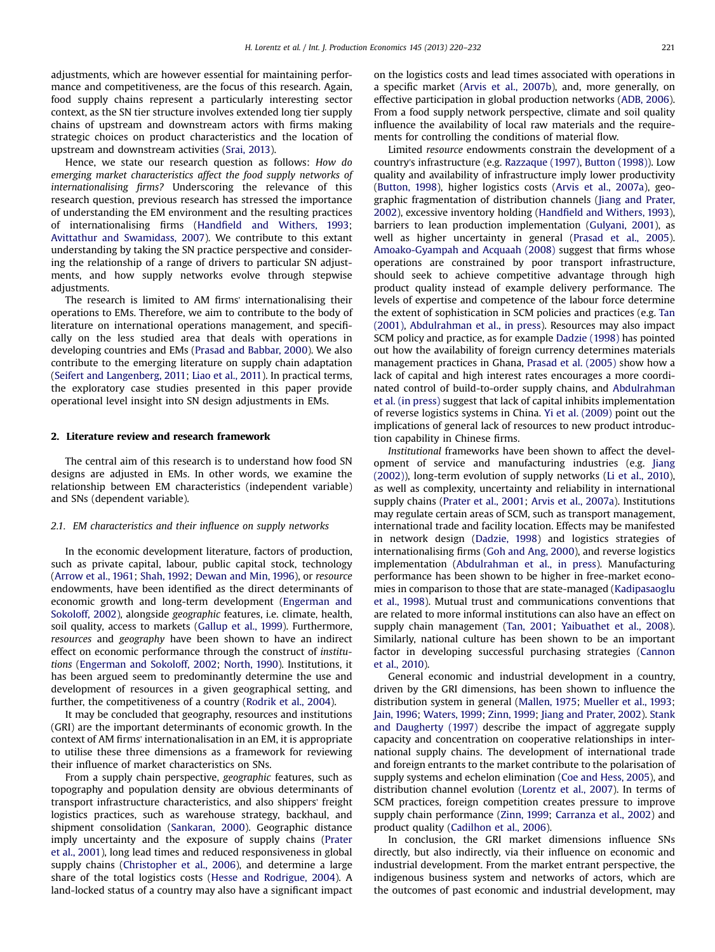adjustments, which are however essential for maintaining performance and competitiveness, are the focus of this research. Again, food supply chains represent a particularly interesting sector context, as the SN tier structure involves extended long tier supply chains of upstream and downstream actors with firms making strategic choices on product characteristics and the location of upstream and downstream activities [\(Srai, 2013](#page--1-0)).

Hence, we state our research question as follows: How do emerging market characteristics affect the food supply networks of internationalising firms? Underscoring the relevance of this research question, previous research has stressed the importance of understanding the EM environment and the resulting practices of internationalising firms (Handfi[eld and Withers, 1993;](#page--1-0) [Avittathur and Swamidass, 2007\)](#page--1-0). We contribute to this extant understanding by taking the SN practice perspective and considering the relationship of a range of drivers to particular SN adjustments, and how supply networks evolve through stepwise adjustments.

The research is limited to AM firms' internationalising their operations to EMs. Therefore, we aim to contribute to the body of literature on international operations management, and specifically on the less studied area that deals with operations in developing countries and EMs ([Prasad and Babbar, 2000](#page--1-0)). We also contribute to the emerging literature on supply chain adaptation ([Seifert and Langenberg, 2011;](#page--1-0) [Liao et al., 2011](#page--1-0)). In practical terms, the exploratory case studies presented in this paper provide operational level insight into SN design adjustments in EMs.

### 2. Literature review and research framework

The central aim of this research is to understand how food SN designs are adjusted in EMs. In other words, we examine the relationship between EM characteristics (independent variable) and SNs (dependent variable).

#### 2.1. EM characteristics and their influence on supply networks

In the economic development literature, factors of production, such as private capital, labour, public capital stock, technology ([Arrow et al., 1961;](#page--1-0) [Shah, 1992;](#page--1-0) [Dewan and Min, 1996](#page--1-0)), or resource endowments, have been identified as the direct determinants of economic growth and long-term development ([Engerman and](#page--1-0) [Sokoloff, 2002](#page--1-0)), alongside geographic features, i.e. climate, health, soil quality, access to markets [\(Gallup et al., 1999](#page--1-0)). Furthermore, resources and geography have been shown to have an indirect effect on economic performance through the construct of institutions [\(Engerman and Sokoloff, 2002;](#page--1-0) [North, 1990\)](#page--1-0). Institutions, it has been argued seem to predominantly determine the use and development of resources in a given geographical setting, and further, the competitiveness of a country [\(Rodrik et al., 2004\)](#page--1-0).

It may be concluded that geography, resources and institutions (GRI) are the important determinants of economic growth. In the context of AM firms' internationalisation in an EM, it is appropriate to utilise these three dimensions as a framework for reviewing their influence of market characteristics on SNs.

From a supply chain perspective, geographic features, such as topography and population density are obvious determinants of transport infrastructure characteristics, and also shippers' freight logistics practices, such as warehouse strategy, backhaul, and shipment consolidation ([Sankaran, 2000](#page--1-0)). Geographic distance imply uncertainty and the exposure of supply chains ([Prater](#page--1-0) [et al., 2001](#page--1-0)), long lead times and reduced responsiveness in global supply chains ([Christopher et al., 2006](#page--1-0)), and determine a large share of the total logistics costs ([Hesse and Rodrigue, 2004](#page--1-0)). A land-locked status of a country may also have a significant impact

on the logistics costs and lead times associated with operations in a specific market [\(Arvis et al., 2007b](#page--1-0)), and, more generally, on effective participation in global production networks ([ADB, 2006\)](#page--1-0). From a food supply network perspective, climate and soil quality influence the availability of local raw materials and the requirements for controlling the conditions of material flow.

Limited resource endowments constrain the development of a country's infrastructure (e.g. [Razzaque \(1997\),](#page--1-0) [Button \(1998\)\)](#page--1-0). Low quality and availability of infrastructure imply lower productivity ([Button, 1998](#page--1-0)), higher logistics costs [\(Arvis et al., 2007a\)](#page--1-0), geographic fragmentation of distribution channels ([Jiang and Prater,](#page--1-0) [2002\)](#page--1-0), excessive inventory holding (Handfi[eld and Withers, 1993\)](#page--1-0), barriers to lean production implementation [\(Gulyani, 2001](#page--1-0)), as well as higher uncertainty in general ([Prasad et al., 2005\)](#page--1-0). [Amoako-Gyampah and Acquaah \(2008\)](#page--1-0) suggest that firms whose operations are constrained by poor transport infrastructure, should seek to achieve competitive advantage through high product quality instead of example delivery performance. The levels of expertise and competence of the labour force determine the extent of sophistication in SCM policies and practices (e.g. [Tan](#page--1-0) [\(2001\),](#page--1-0) [Abdulrahman et al., in press\)](#page--1-0). Resources may also impact SCM policy and practice, as for example [Dadzie \(1998\)](#page--1-0) has pointed out how the availability of foreign currency determines materials management practices in Ghana, [Prasad et al. \(2005\)](#page--1-0) show how a lack of capital and high interest rates encourages a more coordinated control of build-to-order supply chains, and [Abdulrahman](#page--1-0) [et al. \(in press\)](#page--1-0) suggest that lack of capital inhibits implementation of reverse logistics systems in China. [Yi et al. \(2009\)](#page--1-0) point out the implications of general lack of resources to new product introduction capability in Chinese firms.

Institutional frameworks have been shown to affect the development of service and manufacturing industries (e.g. [Jiang](#page--1-0) [\(2002\)\)](#page--1-0), long-term evolution of supply networks ([Li et al., 2010\)](#page--1-0), as well as complexity, uncertainty and reliability in international supply chains [\(Prater et al., 2001](#page--1-0); [Arvis et al., 2007a\)](#page--1-0). Institutions may regulate certain areas of SCM, such as transport management, international trade and facility location. Effects may be manifested in network design [\(Dadzie, 1998\)](#page--1-0) and logistics strategies of internationalising firms ([Goh and Ang, 2000](#page--1-0)), and reverse logistics implementation [\(Abdulrahman et al., in press\)](#page--1-0). Manufacturing performance has been shown to be higher in free-market economies in comparison to those that are state-managed [\(Kadipasaoglu](#page--1-0) [et al., 1998\)](#page--1-0). Mutual trust and communications conventions that are related to more informal institutions can also have an effect on supply chain management [\(Tan, 2001;](#page--1-0) [Yaibuathet et al., 2008\)](#page--1-0). Similarly, national culture has been shown to be an important factor in developing successful purchasing strategies ([Cannon](#page--1-0) [et al., 2010](#page--1-0)).

General economic and industrial development in a country, driven by the GRI dimensions, has been shown to influence the distribution system in general [\(Mallen, 1975;](#page--1-0) [Mueller et al., 1993;](#page--1-0) [Jain, 1996;](#page--1-0) [Waters, 1999;](#page--1-0) [Zinn, 1999](#page--1-0); [Jiang and Prater, 2002](#page--1-0)). [Stank](#page--1-0) [and Daugherty \(1997\)](#page--1-0) describe the impact of aggregate supply capacity and concentration on cooperative relationships in international supply chains. The development of international trade and foreign entrants to the market contribute to the polarisation of supply systems and echelon elimination ([Coe and Hess, 2005](#page--1-0)), and distribution channel evolution [\(Lorentz et al., 2007\)](#page--1-0). In terms of SCM practices, foreign competition creates pressure to improve supply chain performance [\(Zinn, 1999](#page--1-0); [Carranza et al., 2002](#page--1-0)) and product quality ([Cadilhon et al., 2006\)](#page--1-0).

In conclusion, the GRI market dimensions influence SNs directly, but also indirectly, via their influence on economic and industrial development. From the market entrant perspective, the indigenous business system and networks of actors, which are the outcomes of past economic and industrial development, may